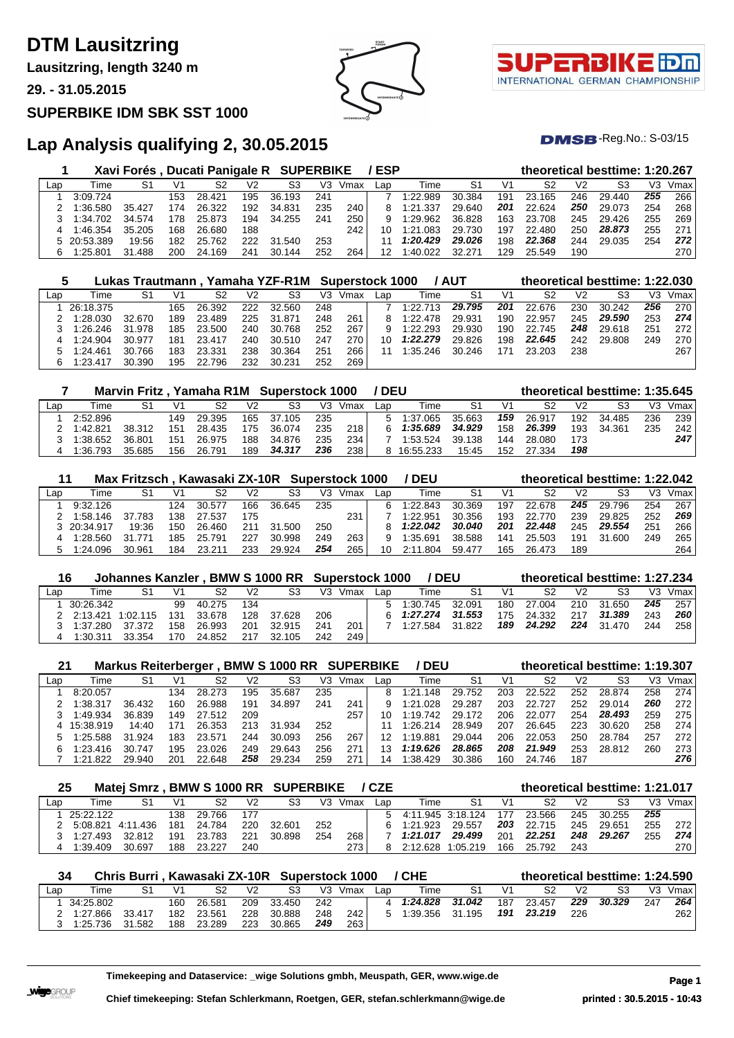**Lausitzring, length 3240 m**

**29. - 31.05.2015**

## **SUPERBIKE IDM SBK SST 1000**



T. INTERNATIONAL GERMAN CHAMPIONSHIP

 $DMSB$ -Reg.No.:  $S-03/15$ 

# **Lap Analysis qualifying 2, 30.05.2015**

|     |             |        |     | Xavi Forés, Ducati Panigale R SUPERBIKE |                |        |     |      | /ESP / |          |        |     | theoretical besttime: 1:20.267 |                |        |     |      |
|-----|-------------|--------|-----|-----------------------------------------|----------------|--------|-----|------|--------|----------|--------|-----|--------------------------------|----------------|--------|-----|------|
| Lap | Time        | S1     | V1  | S2                                      | V <sub>2</sub> | S3     | V3  | Vmax | Lap    | Time     | S1     | V1  | S2                             | V <sub>2</sub> | S3     | V3  | Vmax |
|     | 3:09.724    |        | 153 | 28.421                                  | 195            | 36.193 | 241 |      |        | 1:22.989 | 30.384 | 191 | 23.165                         | 246            | 29.440 | 255 | 266  |
|     | 1:36.580    | 35.427 | 174 | 26.322                                  | 192            | 34.831 | 235 | 240  |        | 1:21.337 | 29.640 | 201 | 22.624                         | 250            | 29.073 | 254 | 268  |
|     | 1:34.702    | 34.574 | 178 | 25.873                                  | 194            | 34.255 | 241 | 250  |        | 1:29.962 | 36.828 | 163 | 23.708                         | 245            | 29.426 | 255 | 269  |
|     | 1:46.354    | 35.205 | 168 | 26.680                                  | 188            |        |     | 242. | 10     | 1:21.083 | 29.730 | 197 | 22.480                         | 250            | 28.873 | 255 | 271  |
|     | 5 20:53.389 | 19:56  | 182 | 25.762                                  | 222            | 31.540 | 253 |      |        | 1:20.429 | 29.026 | 198 | 22.368                         | 244            | 29.035 | 254 | 272  |
|     | 1:25.801    | 31.488 | 200 | 24.169                                  | 241            | 30.144 | 252 | 264  | 12     | 1:40.022 | 32.271 | 129 | 25.549                         | 190            |        |     | 270  |

|     |           | Lukas Trautmann. |     |             |      | Namaha YZF-R1M Superstock 1000 |     |      |     |          | <b>/ AUT</b> |     | theoretical besttime: 1:22.030 |     |        |     |      |
|-----|-----------|------------------|-----|-------------|------|--------------------------------|-----|------|-----|----------|--------------|-----|--------------------------------|-----|--------|-----|------|
| Lap | Time      | S1               | V1  | S2          | V2   | S3                             | V3. | Vmax | ∟ap | Time     | S1           | V1  | S <sub>2</sub>                 | V2  | S3     | V3  | Vmax |
|     | 26:18.375 |                  | 165 | 26.392      | 222  | 32.560                         | 248 |      |     | 1:22.713 | 29.795       | 201 | 22.676                         | 230 | 30.242 | 256 | 270  |
|     | 1:28.030  | 32.670           | 189 | 23.489      | 225  | 31.871                         | 248 | 261  |     | 1:22.478 | 29.931       | 190 | 22.957                         | 245 | 29.590 | 253 | 274  |
|     | 1:26.246  | 31.978           | 185 | 23.500      | 240. | 30.768                         | 252 | 267  |     | 1:22.293 | 29.930       | 190 | 22.745                         | 248 | 29.618 | 251 | 272  |
|     | 1:24.904  | 30.977           | 181 | 23.417      | 240. | 30.510                         | 247 | 270  | 10  | 1:22.279 | 29.826       | 198 | 22.645                         | 242 | 29.808 | 249 | 270  |
| 'n. | 1:24.461  | 30.766           | 183 | 23.331      | 238  | 30.364                         | 251 | 266  |     | 1:35.246 | 30.246       | 171 | 23.203                         | 238 |        |     | 267  |
|     | 1.23 417  | 30.390           | 195 | .796<br>22. | 232  | 30.231                         | 252 | 269  |     |          |              |     |                                |     |        |     |      |

|     |          | Marvin Fritz, Yamaha R1M Superstock 1000 |                |        |     |        |     |      | ' DEU |           |        |     | theoretical besttime: 1:35.645 |                |        |     |      |
|-----|----------|------------------------------------------|----------------|--------|-----|--------|-----|------|-------|-----------|--------|-----|--------------------------------|----------------|--------|-----|------|
| Lap | Time     | S1                                       | V <sub>1</sub> | S2     | V2  | S3     | V3  | Vmax | Lan   | Time      | S1     | V1  | S2                             | V <sub>2</sub> | S3     | V3  | Vmax |
|     | 2:52.896 |                                          | 149            | 29.395 | 165 | 37.105 | 235 |      |       | 1:37.065  | 35.663 | 159 | 26.917                         | 192            | 34.485 | 236 | 239  |
|     | 1:42.821 | 38.312                                   | 151            | 28.435 | 175 | 36.074 | 235 | 218  |       | 1:35.689  | 34.929 | 158 | 26.399                         | 193            | 34.361 | 235 | 242  |
|     | 1:38.652 | 36.801                                   | 151            | 26.975 | 188 | 34.876 | 235 | 234  |       | 1:53.524  | 39.138 | 144 | 28,080                         | 173            |        |     | 247  |
|     | 1:36.793 | 35.685                                   | 156            | 26.791 | 189 | 34.317 | 236 | 238  |       | 16:55.233 | 15:45  | 152 | 27.334                         | 198            |        |     |      |

| 11  |             | Max Fritzsch, Kawasaki ZX-10R Superstock 1000 |     |        |     |        |     |      |     | / DEU    |        |     |        |                | theoretical besttime: 1:22.042 |     |      |
|-----|-------------|-----------------------------------------------|-----|--------|-----|--------|-----|------|-----|----------|--------|-----|--------|----------------|--------------------------------|-----|------|
| Lap | Time        | S1                                            | V1  | S2     | V2  | S3     | VЗ  | Vmax | ∟an | Гіmе     | S1     | V1  | S2     | V <sub>2</sub> | S3                             | VЗ  | Vmax |
|     | 9:32.126    |                                               | 124 | 30.577 | 166 | 36.645 | 235 |      |     | 1:22.843 | 30.369 | 197 | 22.678 | 245            | 29.796                         | 254 | 267  |
|     | 1:58.146    | 37.783                                        | 138 | 27.537 | 175 |        |     | 231  |     | 1:22.951 | 30.356 | 193 | 22.770 | 239            | 29.825                         | 252 | 269  |
|     | 3 20:34.917 | 19:36                                         | 150 | 26.460 | 211 | 31.500 | 250 |      |     | 1:22.042 | 30.040 | 201 | 22.448 | 245            | 29.554                         | 251 | 266  |
|     | 1:28.560    | 31.771                                        | 185 | 25.791 | 227 | 30.998 | 249 | 263  |     | 1:35.691 | 38.588 | 141 | 25.503 | 191            | 31.600                         | 249 | 265  |
|     | 1:24.096    | 30.961                                        | 184 | 23 211 | 233 | 29.924 | 254 | 265  | 10  | 2:11.804 | 59.477 | 165 | 26.473 | 189            |                                |     | 264  |

| 16  |           | Johannes Kanzler, BMW S 1000 RR Superstock 1000 |                |        |     |        |     |      |     | / DEU    |        |                | theoretical besttime: 1:27.234 |                |        |     |      |
|-----|-----------|-------------------------------------------------|----------------|--------|-----|--------|-----|------|-----|----------|--------|----------------|--------------------------------|----------------|--------|-----|------|
| Lap | Time      | S1                                              | V <sub>1</sub> | S2     | V2  | S3     | V3  | Vmax | Lan | Time     | S1     | V <sub>1</sub> | S2                             | V <sub>2</sub> | S3     | V3  | Vmax |
|     | 30:26.342 |                                                 | 99             | 40.275 | 134 |        |     |      |     | 1:30.745 | 32.091 | 180            | 27.004                         | 210            | 31.650 | 245 | 257  |
|     | 2:13.421  | 1.02.115                                        | 131            | 33.678 | 128 | 37.628 | 206 |      |     | 1:27.274 | 31.553 | 175            | 24.332                         | 217            | 31.389 | 243 | 260  |
|     | 1:37.280  | 37.372                                          | 158            | 26.993 | 201 | 32.915 | 241 | 201  |     | 1:27.584 | 31.822 | 189            | 24.292                         | 224            | 31.470 | 244 | 258  |
|     | 1:30.311  | 33.354                                          | 170            | 24.852 | 217 | 32.105 | 242 | 249. |     |          |        |                |                                |                |        |     |      |

| 21  |           | Markus Reiterberger, |     |        |     | <b>BMW S 1000 RR SUPERBIKE</b> |     |      |     | / DEU    |        |     |        |     | theoretical besttime: 1:19.307 |     |      |
|-----|-----------|----------------------|-----|--------|-----|--------------------------------|-----|------|-----|----------|--------|-----|--------|-----|--------------------------------|-----|------|
| Lap | Time      | S1                   | V1  | S2     | V2  | S3                             | V3  | Vmax | Lap | Гіmе     | S1     | V1  | S2     | V2  | S3                             | VЗ  | Vmax |
|     | 8:20.057  |                      | 134 | 28.273 | 195 | 35.687                         | 235 |      | 8   | 1:21.148 | 29.752 | 203 | 22.522 | 252 | 28.874                         | 258 | 274  |
|     | 1:38.317  | 36.432               | 160 | 26.988 | 191 | 34.897                         | 241 | 241  |     | 1:21.028 | 29.287 | 203 | 22.727 | 252 | 29.014                         | 260 | 272  |
|     | 1:49.934  | 36.839               | 149 | 27.512 | 209 |                                |     | 257  | 10  | 1:19.742 | 29.172 | 206 | 22.077 | 254 | 28.493                         | 259 | 275  |
|     | 15:38.919 | 14:40                | 171 | 26.353 | 213 | 31.934                         | 252 |      |     | 1:26.214 | 28.949 | 207 | 26.645 | 223 | 30.620                         | 258 | 274  |
|     | 1:25.588  | 31.924               | 183 | 23.571 | 244 | 30.093                         | 256 | 267  | 12  | 1:19.881 | 29.044 | 206 | 22.053 | 250 | 28.784                         | 257 | 272  |
| հ   | 1:23.416  | 30.747               | 195 | 23.026 | 249 | 29.643                         | 256 | 271  | 13  | 1:19.626 | 28.865 | 208 | 21.949 | 253 | 28.812                         | 260 | 273  |
|     | 1:21.822  | 29.940               | 201 | 22.648 | 258 | 29.234                         | 259 | 271  | 14  | 1:38.429 | 30.386 | 160 | 24.746 | 187 |                                |     | 276  |

| 25  |                   | Matej Smrz, BMW S 1000 RR SUPERBIKE / CZE |                |            |                |        |     |         |     |                     |          |                | theoretical besttime: 1:21.017 |                |            |     |         |
|-----|-------------------|-------------------------------------------|----------------|------------|----------------|--------|-----|---------|-----|---------------------|----------|----------------|--------------------------------|----------------|------------|-----|---------|
| Lap | Time              | S1                                        | V <sub>1</sub> | S2         | V <sub>2</sub> | S3     |     | V3 Vmax | Lap | Time                | S1       | V <sub>1</sub> | S2                             | V <sub>2</sub> | S3         |     | V3 Vmax |
|     | 25:22.122         |                                           |                | 138 29.766 | 177            |        |     |         |     | 5 4:11.945 3:18.124 |          | - 177          | 23.566                         |                | 245 30.255 | 255 |         |
|     | 5:08.821 4:11.436 |                                           |                | 181 24.784 | 220            | 32.601 | 252 |         |     | 6 1:21.923          | 29.557   | 203            | 22.715                         | 245            | 29.651     | 255 | 272     |
|     | 1:27.493          | 32.812                                    | 191            | 23.783     | 221            | 30.898 | 254 | 268     |     | 1:21.017            | 29.499   | 201            | 22.251                         |                | 248 29.267 | 255 | 274     |
|     | 1:39.409          | 30.697                                    | 188            | 23.227     | 240            |        |     | 273     |     | 2:12.628            | 1:05.219 |                | 166 25.792                     | 243            |            |     | 270     |

| 34  |                 | Chris Burri, Kawasaki ZX-10R Superstock 1000 / CHE |                |            |                |            |     |         |              |                 |        |                |        |                | theoretical besttime: 1:24.590 |     |         |
|-----|-----------------|----------------------------------------------------|----------------|------------|----------------|------------|-----|---------|--------------|-----------------|--------|----------------|--------|----------------|--------------------------------|-----|---------|
| Lap | Time            | S <sub>1</sub>                                     | V <sub>1</sub> | S2         | V <sub>2</sub> | S3         |     | V3 Vmax | Lap          | Time            | -S1    | V <sub>1</sub> | S2     | V <sub>2</sub> | S3                             |     | V3 Vmax |
|     | 34:25.802       |                                                    |                | 160 26.581 |                | 209 33.450 | 242 |         | $\mathbf{A}$ | 1:24.828 31.042 |        | 187            | 23.457 | 229            | 30.329                         | 247 | 264     |
|     | 1:27.866        | 33.417                                             |                | 182 23.561 | 228            | 30.888     | 248 | 242     | 5            | 1:39.356        | 31.195 | 191            | 23.219 | 226            |                                |     | 262     |
|     | 1:25.736 31.582 |                                                    | 188            | 23.289     | 223            | 30.865     | 249 | 263.    |              |                 |        |                |        |                |                                |     |         |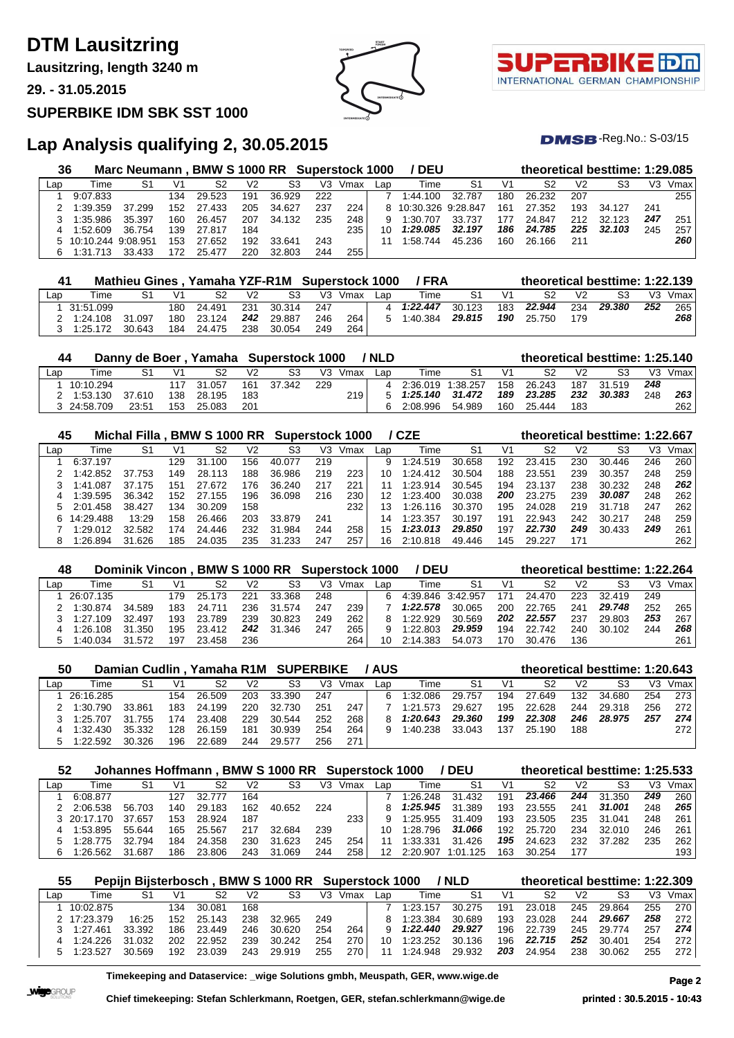**Lausitzring, length 3240 m**

**29. - 31.05.2015**

## **SUPERBIKE IDM SBK SST 1000**



T. INTERNATIONAL GERMAN CHAMPIONSHIP

 $DMSB$ -Reg.No.:  $S-03/15$ 

# **Lap Analysis qualifying 2, 30.05.2015**

| 36  |                      | Marc Neumann. |      | BMW S 1000 RR Superstock 1000 |                |        |     |      |     | <b>DEU</b>           |        |     |                |                | theoretical besttime: 1:29.085 |     |      |
|-----|----------------------|---------------|------|-------------------------------|----------------|--------|-----|------|-----|----------------------|--------|-----|----------------|----------------|--------------------------------|-----|------|
| Lap | Time                 | S1            | V1   | S2                            | V <sub>2</sub> | S3     | V3  | Vmax | ∟ap | Time                 | S1     | V1  | S <sub>2</sub> | V <sub>2</sub> | S3                             | VЗ  | Vmax |
|     | 9:07.833             |               | 134  | 29.523                        | 191            | 36.929 | 222 |      |     | 1:44.100             | 32.787 | 180 | 26.232         | 207            |                                |     | 255  |
|     | 1:39.359             | 37.299        | 152. | 27.433                        | 205            | 34.627 | 237 | 224  |     | 8 10:30.326 9:28.847 |        | 161 | 27.352         | 193            | 34.127                         | 241 |      |
|     | 1:35.986             | 35.397        | 160  | 26.457                        | 207            | 34.132 | 235 | 248  |     | 1:30.707             | 33.737 | 177 | 24.847         | 212            | 32.123                         | 247 | 251  |
|     | 1:52.609             | 36.754        | 139  | 27.817                        | 184            |        |     | 235  |     | 1:29.085             | 32.197 | 186 | 24.785         | 225            | 32.103                         | 245 | 257  |
|     | 5 10:10.244 9:08.951 |               | 153  | 27.652                        | 192            | 33.641 | 243 |      |     | 1:58.744             | 45.236 | 160 | 26.166         | 211            |                                |     | 260  |
| 6   | 1:31.713             | 33.433        |      | 25.477                        | 220            | 32.803 | 244 | 255  |     |                      |        |     |                |                |                                |     |      |

|     |           |        |                | Mathieu Gines, Yamaha YZF-R1M Superstock 1000 |                |        |     |      |     | /FRA       |                |     |                |                | theoretical besttime: 1:22.139 |     |      |
|-----|-----------|--------|----------------|-----------------------------------------------|----------------|--------|-----|------|-----|------------|----------------|-----|----------------|----------------|--------------------------------|-----|------|
| Lap | Time      |        | V <sub>1</sub> | S2                                            | V <sub>2</sub> | S3     | V3  | Vmax | Lan | Time       | S <sub>1</sub> | V1  | S <sub>2</sub> | V <sub>2</sub> | S <sub>3</sub>                 | V3  | Vmax |
|     | 31:51.099 |        | 180            | 24.491                                        | 231            | 30.314 | 247 |      |     | 1:22.447   | 30.123         | 183 | 22.944         | 234            | 29.380                         | 252 | 265  |
|     | 1:24.108  | 31.097 | 180            | 23.124                                        | 242            | 29.887 | 246 | 264  |     | 5 1:40.384 | 29,815         | 190 | 25.750         | 179            |                                |     | 268  |
|     | 1:25.172  | 30.643 | 184            | 24.475                                        | 238            | 30.054 | 249 | 264  |     |            |                |     |                |                |                                |     |      |

| 44  |             |        |                | Danny de Boer, Yamaha Superstock 1000 / NLD |                |            |     |         |     |                     |        |                | theoretical besttime: 1:25.140 |                |            |     |          |
|-----|-------------|--------|----------------|---------------------------------------------|----------------|------------|-----|---------|-----|---------------------|--------|----------------|--------------------------------|----------------|------------|-----|----------|
| Lap | Time        | S1     | V <sub>1</sub> | S2                                          | V <sub>2</sub> | S3         |     | V3 Vmax | Lap | Time                | S1     | V <sub>1</sub> | S <sub>2</sub>                 | V <sub>2</sub> | S3         |     | V3 Vmaxl |
|     | 10:10.294   |        |                | 117 31.057                                  |                | 161 37.342 | 229 |         |     | 4 2:36.019 1:38.257 |        |                | 158 26.243                     |                | 187 31.519 | 248 |          |
|     | 1:53.130    | 37.610 |                | 138 28.195                                  | 183            |            |     | 219     |     | 5 1:25.140 31.472   |        | 189            | 23.285                         | 232            | 30.383     | 248 | 263      |
|     | 3 24:58.709 | 23:51  |                | 153 25.083                                  | 201            |            |     |         |     | 2:08.996            | 54.989 | 160            | 25.444                         | 183            |            |     | 262      |

| 45  |           | Michal Filla . |     | BMW S 1000 RR |     | <b>Superstock 1000</b> |     |      |     | / CZE    |        |     | theoretical besttime: 1:22.667 |     |        |     |      |
|-----|-----------|----------------|-----|---------------|-----|------------------------|-----|------|-----|----------|--------|-----|--------------------------------|-----|--------|-----|------|
| Lap | Time      | S1             | V1  | S2            | V2  | S3                     | V3  | Vmax | Lap | Time     | S1     | V1  | S2                             | V2  | S3     | V3  | Vmax |
|     | 6:37.197  |                | 129 | 31<br>.100    | 156 | 40.077                 | 219 |      | 9   | 1:24.519 | 30.658 | 192 | 23.415                         | 230 | 30.446 | 246 | 260  |
|     | 1:42.852  | 37.753         | 149 | 28.113        | 188 | 36.986                 | 219 | 223  | 10  | 1:24.412 | 30.504 | 188 | 23.551                         | 239 | 30.357 | 248 | 259  |
|     | 1:41.087  | 37.175         | 151 | 27.672        | 176 | 36.240                 | 217 | 221  |     | 1:23.914 | 30.545 | 194 | 23.137                         | 238 | 30.232 | 248 | 262  |
| 4   | 1:39.595  | 36.342         | 152 | 27.155        | 196 | 36.098                 | 216 | 230  | 12  | 1:23.400 | 30.038 | 200 | 23.275                         | 239 | 30.087 | 248 | 262  |
|     | 2:01.458  | 38.427         | 134 | 30.209        | 158 |                        |     | 232  | 13  | 1:26.116 | 30.370 | 195 | 24.028                         | 219 | 31.718 | 247 | 262  |
| 6.  | 14:29.488 | 13:29          | 158 | 26.466        | 203 | 33.879                 | 241 |      | 14  | 1:23.357 | 30.197 | 191 | 22.943                         | 242 | 30.217 | 248 | 259  |
|     | 1:29.012  | 32.582         | 174 | 24.446        | 232 | 31<br>.984             | 244 | 258  | 15  | 1:23.013 | 29.850 | 197 | 22.730                         | 249 | 30.433 | 249 | 261  |
| 8   | 1:26.894  | 31.626         | 185 | 24.035        | 235 | 31.233                 | 247 | 257  | 16  | 2:10.818 | 49.446 | 145 | 29.227                         | 171 |        |     | 262  |

| 48  |           | Dominik Vincon, BMW S 1000 RR Superstock 1000 |     |        |      |             |     |      |     | / DEU             |        |     | theoretical besttime: 1:22.264 |                |        |     |      |
|-----|-----------|-----------------------------------------------|-----|--------|------|-------------|-----|------|-----|-------------------|--------|-----|--------------------------------|----------------|--------|-----|------|
| Lap | Time      | S1                                            | V1  | S2     | V2   | S3          | VЗ  | Vmax | Lan | Гіmе              | S1     | V1  | S2                             | V <sub>2</sub> | S3     | V3  | Vmax |
|     | 26:07.135 |                                               | 179 | 25.173 | 221  | 33.368      | 248 |      |     | 4:39.846 3:42.957 |        | 171 | 24.470                         | 223            | 32.419 | 249 |      |
|     | 1:30.874  | 34.589                                        | 183 | 24.711 | 236. | 31.574      | 247 | 239  |     | 1:22.578          | 30.065 | 200 | 22.765                         | 241            | 29.748 | 252 | 265  |
|     | 1:27.109  | 32.497                                        | 193 | 23.789 | 239  | 30.823      | 249 | 262  |     | 1:22.929          | 30.569 | 202 | 22.557                         | 237            | 29.803 | 253 | 267  |
|     | 1:26.108  | 31.350                                        | 195 | 23.412 | 242  | .346<br>.31 | 247 | 265  |     | 1:22.803          | 29.959 | 194 | 22.742                         | 240            | 30.102 | 244 | 268  |
| 'n. | 1:40.034  | 31.572                                        | 197 | 23.458 | 236  |             |     | 264  |     | 2:14.383          | 54.073 | 170 | 30.476                         | 136            |        |     | 261  |

| 50  |           |        |     | Damian Cudlin, Yamaha R1M SUPERBIKE |      |        |     |      | <b>AUS</b> |          |        |                |        |                | theoretical besttime: 1:20.643 |     |      |
|-----|-----------|--------|-----|-------------------------------------|------|--------|-----|------|------------|----------|--------|----------------|--------|----------------|--------------------------------|-----|------|
| Lap | Time      | S1     | V1  | S2                                  | V2   | S3     | V3  | Vmax | Lao        | Time     | S1     | V <sub>1</sub> | S2     | V <sub>2</sub> | S3                             | V3  | Vmax |
|     | 26:16.285 |        | 154 | 26.509                              | 203  | 33.390 | 247 |      | 6          | 1:32.086 | 29.757 | 194            | 27.649 | 132            | 34.680                         | 254 | 273  |
|     | 1:30.790  | 33.861 | 183 | 24.199                              | 220. | 32.730 | 251 | 247  |            | 1:21.573 | 29.627 | 195            | 22.628 | 244            | 29.318                         | 256 | 272  |
|     | 1:25.707  | 31.755 | 174 | 23.408                              | 229  | 30.544 | 252 | 268  | 8          | 1:20.643 | 29.360 | 199            | 22.308 | 246            | 28.975                         | 257 | 274  |
|     | 1:32.430  | 35.332 | 128 | 26.159                              | 181  | 30.939 | 254 | 264  |            | 1:40.238 | 33.043 | 137            | 25.190 | 188            |                                |     | 272  |
| 5.  | 1:22.592  | 30.326 | 196 | 22.689                              | 244  | 29.577 | 256 | 271  |            |          |        |                |        |                |                                |     |      |

| 52  |             | Johannes Hoffmann. |     |        |     | . BMW S 1000 RR |     | <b>Superstock 1000</b> |     |          | <b>DEU</b> |     | theoretical besttime: 1:25.533 |                |        |     |      |
|-----|-------------|--------------------|-----|--------|-----|-----------------|-----|------------------------|-----|----------|------------|-----|--------------------------------|----------------|--------|-----|------|
| Lap | Time        | S1                 | V1  | S2     | V2  | S3              | VЗ  | Vmax                   | Lan | Гіmе     | S1         | V1  | S2                             | V <sub>2</sub> | S3     | VЗ  | Vmax |
|     | 6:08.877    |                    | 127 | 32.777 | 164 |                 |     |                        |     | 1:26.248 | .432<br>31 | 191 | 23.466                         | 244            | 31.350 | 249 | 260  |
|     | 2:06.538    | 56.703             | 140 | 29.183 | 162 | 40.652          | 224 |                        |     | 1:25.945 | 31.389     | 193 | 23.555                         | 241            | 31.001 | 248 | 265  |
|     | 3 20:17.170 | 37.657             | 153 | 28.924 | 187 |                 |     | 233                    |     | 1:25.955 | 31.409     | 193 | 23.505                         | 235            | 31.041 | 248 | 261  |
|     | 1:53.895    | 55.644             | 165 | 25.567 | 217 | 32.684          | 239 |                        | 10  | 1:28.796 | 31.066     | 192 | 25.720                         | 234            | 32.010 | 246 | 261  |
|     | 1:28.775    | 32.794             | 184 | 24.358 | 230 | .623<br>31      | 245 | 254                    |     | 1:33.331 | 31.426     | 195 | 24.623                         | 232            | 37.282 | 235 | 262  |
|     | 1:26.562    | 31.687             | 186 | 23.806 | 243 | .069<br>31      | 244 | 258                    |     | 2.20.907 | 1:01.125   | 163 | 30.254                         | 177            |        |     | 193  |

| 55  |                    |        |      |        |                | Pepijn Bijsterbosch, BMW S 1000 RR Superstock 1000 |     |      |              |            | / NLD  |                | theoretical besttime: 1:22.309 |                |        |     |      |
|-----|--------------------|--------|------|--------|----------------|----------------------------------------------------|-----|------|--------------|------------|--------|----------------|--------------------------------|----------------|--------|-----|------|
| Lap | Time               | S1     | V1   | S2     | V <sub>2</sub> | S3                                                 | V3  | Vmax | Lan          | Time       | S1     | V <sub>1</sub> | S2                             | V <sub>2</sub> | S3     | V3. | Vmax |
|     | 10:02.875          |        | 134  | 30.081 | 168            |                                                    |     |      |              | 1:23.157   | 30.275 | 191            | 23.018                         | 245            | 29.864 | 255 | 270  |
|     | 2 17:23.379        | 16:25  | 152  | 25.143 | 238            | 32.965                                             | 249 |      |              | 8 1:23.384 | 30.689 | 193            | 23.028                         | 244            | 29.667 | 258 | 272  |
|     | $3 \quad 1:27.461$ | 33.392 | 186. | 23.449 | 246            | 30.620                                             | 254 | 264  | $\mathsf{Q}$ | 1:22.440   | 29.927 | 196            | 22.739                         | 245            | 29.774 | 257 | 274  |
|     | 1:24.226           | 31.032 | 202  | 22.952 | 239            | 30.242                                             | 254 | 270  | 10           | 1:23.252   | 30.136 | 196            | 22.715                         | 252            | 30.401 | 254 | 272  |
| 5.  | 1:23.527           | 30.569 | 192  | 23.039 |                | 243 29.919                                         | 255 | 270  | 11           | 1:24.948   | 29.932 | 203            | 24.954                         | 238            | 30.062 | 255 | 272  |

**Timekeeping and Dataservice: \_wige Solutions gmbh, Meuspath, GER, www.wige.de Page 2**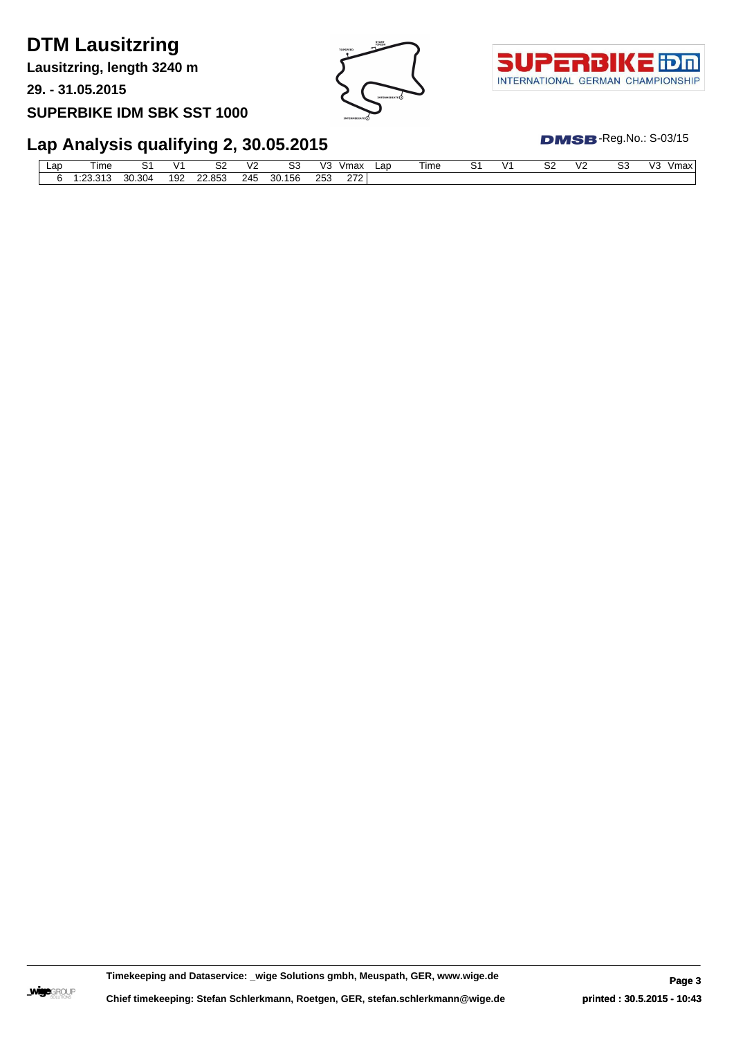**Lausitzring, length 3240 m**

**29. - 31.05.2015**

**SUPERBIKE IDM SBK SST 1000**





## **Lap Analysis qualifying 2, 30.05.2015**

 $DMSB$ -Reg.No.:  $S-03/15$ 

| Lap | īme                       |        |     | $\sim$<br>ےت | $\overline{\phantom{a}}$<br>₩∠ | ົ<br>ບບ                   | V3         | ∨ma.   | ∟ar | īme | ∼ | ^′<br>یر | $\overline{\phantom{a}}$ | r<br>ັບ | $\sqrt{2}$<br>Vmax<br>v J |
|-----|---------------------------|--------|-----|--------------|--------------------------------|---------------------------|------------|--------|-----|-----|---|----------|--------------------------|---------|---------------------------|
|     | $\sim$<br>242<br>2.3.31.7 | 30.304 | 192 | 22.853       | 245                            | 156<br>$30^{\circ}$<br>ືບ | つにつ<br>د∪∟ | $\sim$ |     |     |   |          |                          |         |                           |